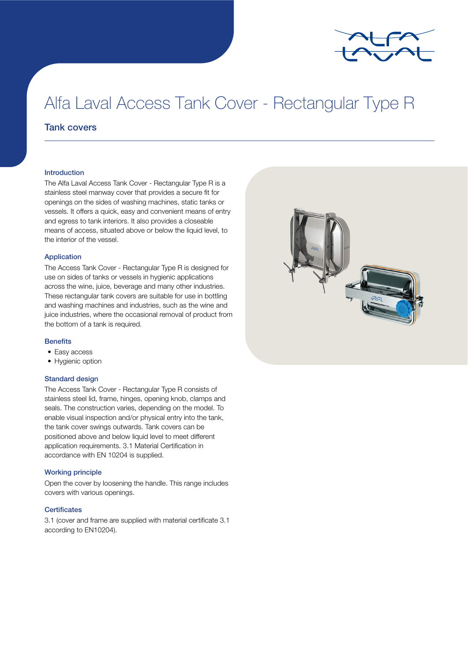

# Alfa Laval Access Tank Cover - Rectangular Type R

## Tank covers

#### Introduction

The Alfa Laval Access Tank Cover - Rectangular Type R is a stainless steel manway cover that provides a secure fit for openings on the sides of washing machines, static tanks or vessels. It offers a quick, easy and convenient means of entry and egress to tank interiors. It also provides a closeable means of access, situated above or below the liquid level, to the interior of the vessel.

#### Application

The Access Tank Cover - Rectangular Type R is designed for use on sides of tanks or vessels in hygienic applications across the wine, juice, beverage and many other industries. These rectangular tank covers are suitable for use in bottling and washing machines and industries, such as the wine and juice industries, where the occasional removal of product from the bottom of a tank is required.

#### **Benefits**

- Easy access
- Hygienic option

### Standard design

The Access Tank Cover - Rectangular Type R consists of stainless steel lid, frame, hinges, opening knob, clamps and seals. The construction varies, depending on the model. To enable visual inspection and/or physical entry into the tank, the tank cover swings outwards. Tank covers can be positioned above and below liquid level to meet different application requirements. 3.1 Material Certification in accordance with EN 10204 is supplied.

#### Working principle

Open the cover by loosening the handle. This range includes covers with various openings.

#### **Certificates**

3.1 (cover and frame are supplied with material certificate 3.1 according to EN10204).